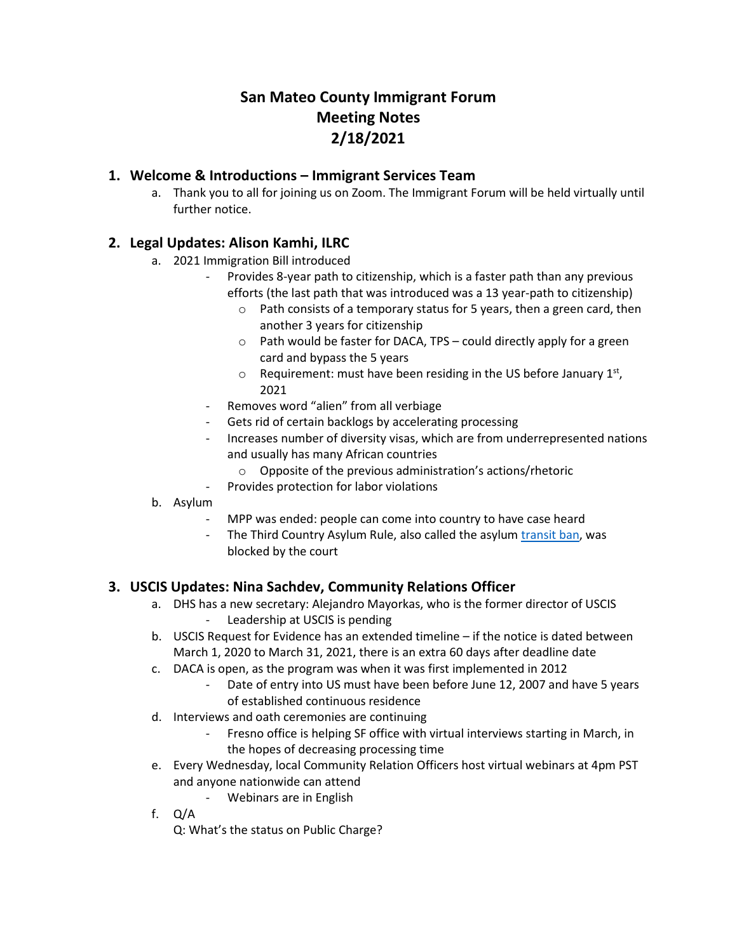# **San Mateo County Immigrant Forum Meeting Notes 2/18/2021**

#### **1. Welcome & Introductions – Immigrant Services Team**

a. Thank you to all for joining us on Zoom. The Immigrant Forum will be held virtually until further notice.

## **2. Legal Updates: Alison Kamhi, ILRC**

- a. 2021 Immigration Bill introduced
	- Provides 8-year path to citizenship, which is a faster path than any previous efforts (the last path that was introduced was a 13 year-path to citizenship)
		- o Path consists of a temporary status for 5 years, then a green card, then another 3 years for citizenship
		- o Path would be faster for DACA, TPS could directly apply for a green card and bypass the 5 years
		- $\circ$  Requirement: must have been residing in the US before January 1st, 2021
	- Removes word "alien" from all verbiage
	- Gets rid of certain backlogs by accelerating processing
	- Increases number of diversity visas, which are from underrepresented nations and usually has many African countries
		- o Opposite of the previous administration's actions/rhetoric
	- Provides protection for labor violations
- b. Asylum
	- MPP was ended: people can come into country to have case heard
	- The Third Country Asylum Rule, also called the asylum [transit ban,](aclu.org/press-releases/federal-court-again-blocks-trump-era-asylum-transit-ban) was blocked by the court

#### **3. USCIS Updates: Nina Sachdev, Community Relations Officer**

- a. DHS has a new secretary: Alejandro Mayorkas, who is the former director of USCIS Leadership at USCIS is pending
- b. USCIS Request for Evidence has an extended timeline if the notice is dated between March 1, 2020 to March 31, 2021, there is an extra 60 days after deadline date
- c. DACA is open, as the program was when it was first implemented in 2012
	- Date of entry into US must have been before June 12, 2007 and have 5 years of established continuous residence
- d. Interviews and oath ceremonies are continuing
	- Fresno office is helping SF office with virtual interviews starting in March, in the hopes of decreasing processing time
- e. Every Wednesday, local Community Relation Officers host virtual webinars at 4pm PST and anyone nationwide can attend
	- Webinars are in English
- f. Q/A

Q: What's the status on Public Charge?